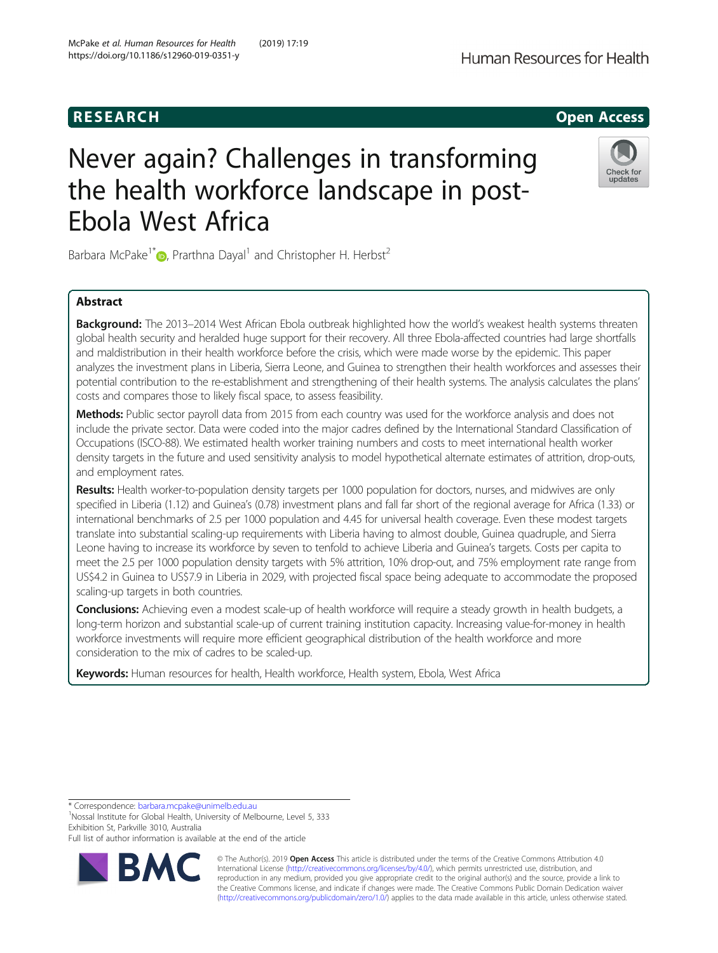

# Never again? Challenges in transforming the health workforce landscape in post-Ebola West Africa

Barbara McPake<sup>1\*</sup> (D), Prarthna Dayal<sup>1</sup> and Christopher H. Herbst<sup>2</sup>

McPake et al. Human Resources for Health (2019) 17:19

https://doi.org/10.1186/s12960-019-0351-y

### Abstract

Background: The 2013–2014 West African Ebola outbreak highlighted how the world's weakest health systems threaten global health security and heralded huge support for their recovery. All three Ebola-affected countries had large shortfalls and maldistribution in their health workforce before the crisis, which were made worse by the epidemic. This paper analyzes the investment plans in Liberia, Sierra Leone, and Guinea to strengthen their health workforces and assesses their potential contribution to the re-establishment and strengthening of their health systems. The analysis calculates the plans' costs and compares those to likely fiscal space, to assess feasibility.

Methods: Public sector payroll data from 2015 from each country was used for the workforce analysis and does not include the private sector. Data were coded into the major cadres defined by the International Standard Classification of Occupations (ISCO-88). We estimated health worker training numbers and costs to meet international health worker density targets in the future and used sensitivity analysis to model hypothetical alternate estimates of attrition, drop-outs, and employment rates.

Results: Health worker-to-population density targets per 1000 population for doctors, nurses, and midwives are only specified in Liberia (1.12) and Guinea's (0.78) investment plans and fall far short of the regional average for Africa (1.33) or international benchmarks of 2.5 per 1000 population and 4.45 for universal health coverage. Even these modest targets translate into substantial scaling-up requirements with Liberia having to almost double, Guinea quadruple, and Sierra Leone having to increase its workforce by seven to tenfold to achieve Liberia and Guinea's targets. Costs per capita to meet the 2.5 per 1000 population density targets with 5% attrition, 10% drop-out, and 75% employment rate range from US\$4.2 in Guinea to US\$7.9 in Liberia in 2029, with projected fiscal space being adequate to accommodate the proposed scaling-up targets in both countries.

Conclusions: Achieving even a modest scale-up of health workforce will require a steady growth in health budgets, a long-term horizon and substantial scale-up of current training institution capacity. Increasing value-for-money in health workforce investments will require more efficient geographical distribution of the health workforce and more consideration to the mix of cadres to be scaled-up.

Keywords: Human resources for health, Health workforce, Health system, Ebola, West Africa

\* Correspondence: [barbara.mcpake@unimelb.edu.au](mailto:barbara.mcpake@unimelb.edu.au) <sup>1</sup>

<sup>1</sup>Nossal Institute for Global Health, University of Melbourne, Level 5, 333 Exhibition St, Parkville 3010, Australia

Full list of author information is available at the end of the article



© The Author(s). 2019 **Open Access** This article is distributed under the terms of the Creative Commons Attribution 4.0 International License [\(http://creativecommons.org/licenses/by/4.0/](http://creativecommons.org/licenses/by/4.0/)), which permits unrestricted use, distribution, and reproduction in any medium, provided you give appropriate credit to the original author(s) and the source, provide a link to the Creative Commons license, and indicate if changes were made. The Creative Commons Public Domain Dedication waiver [\(http://creativecommons.org/publicdomain/zero/1.0/](http://creativecommons.org/publicdomain/zero/1.0/)) applies to the data made available in this article, unless otherwise stated.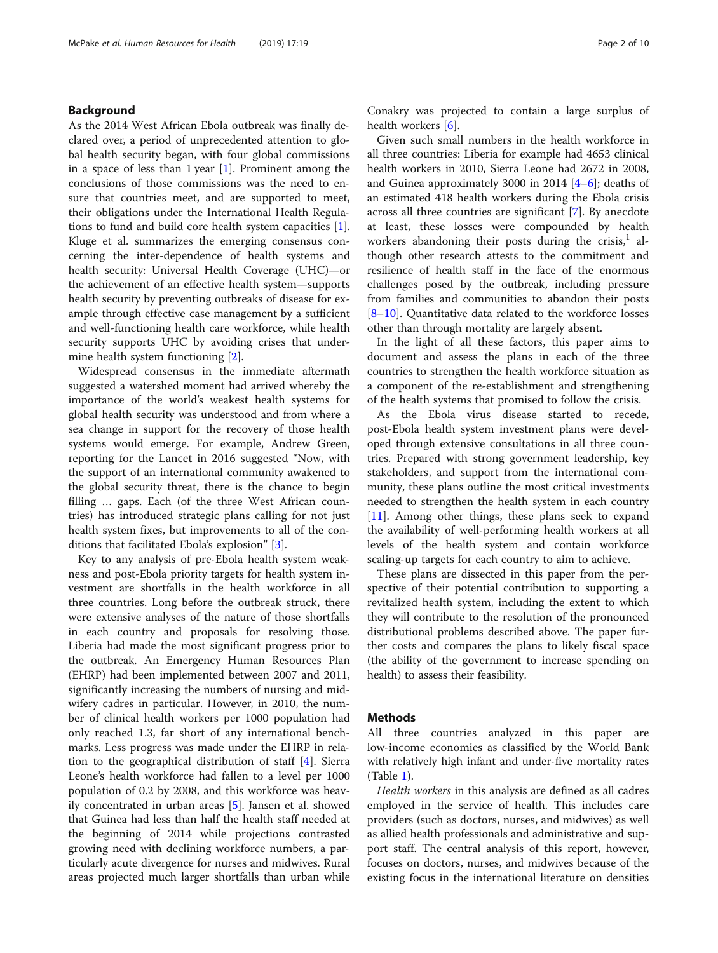#### Background

As the 2014 West African Ebola outbreak was finally declared over, a period of unprecedented attention to global health security began, with four global commissions in a space of less than 1 year [\[1\]](#page-9-0). Prominent among the conclusions of those commissions was the need to ensure that countries meet, and are supported to meet, their obligations under the International Health Regulations to fund and build core health system capacities [\[1](#page-9-0)]. Kluge et al. summarizes the emerging consensus concerning the inter-dependence of health systems and health security: Universal Health Coverage (UHC)—or the achievement of an effective health system—supports health security by preventing outbreaks of disease for example through effective case management by a sufficient and well-functioning health care workforce, while health security supports UHC by avoiding crises that undermine health system functioning [[2\]](#page-9-0).

Widespread consensus in the immediate aftermath suggested a watershed moment had arrived whereby the importance of the world's weakest health systems for global health security was understood and from where a sea change in support for the recovery of those health systems would emerge. For example, Andrew Green, reporting for the Lancet in 2016 suggested "Now, with the support of an international community awakened to the global security threat, there is the chance to begin filling … gaps. Each (of the three West African countries) has introduced strategic plans calling for not just health system fixes, but improvements to all of the conditions that facilitated Ebola's explosion" [\[3](#page-9-0)].

Key to any analysis of pre-Ebola health system weakness and post-Ebola priority targets for health system investment are shortfalls in the health workforce in all three countries. Long before the outbreak struck, there were extensive analyses of the nature of those shortfalls in each country and proposals for resolving those. Liberia had made the most significant progress prior to the outbreak. An Emergency Human Resources Plan (EHRP) had been implemented between 2007 and 2011, significantly increasing the numbers of nursing and midwifery cadres in particular. However, in 2010, the number of clinical health workers per 1000 population had only reached 1.3, far short of any international benchmarks. Less progress was made under the EHRP in relation to the geographical distribution of staff [\[4](#page-9-0)]. Sierra Leone's health workforce had fallen to a level per 1000 population of 0.2 by 2008, and this workforce was heavily concentrated in urban areas [[5\]](#page-9-0). Jansen et al. showed that Guinea had less than half the health staff needed at the beginning of 2014 while projections contrasted growing need with declining workforce numbers, a particularly acute divergence for nurses and midwives. Rural areas projected much larger shortfalls than urban while

Conakry was projected to contain a large surplus of health workers [\[6](#page-9-0)].

Given such small numbers in the health workforce in all three countries: Liberia for example had 4653 clinical health workers in 2010, Sierra Leone had 2672 in 2008, and Guinea approximately 3000 in 201[4](#page-9-0)  $[4-6]$  $[4-6]$ ; deaths of an estimated 418 health workers during the Ebola crisis across all three countries are significant [\[7\]](#page-9-0). By anecdote at least, these losses were compounded by health workers abandoning their posts during the crisis, $<sup>1</sup>$  al-</sup> though other research attests to the commitment and resilience of health staff in the face of the enormous challenges posed by the outbreak, including pressure from families and communities to abandon their posts [[8](#page-9-0)–[10\]](#page-9-0). Quantitative data related to the workforce losses other than through mortality are largely absent.

In the light of all these factors, this paper aims to document and assess the plans in each of the three countries to strengthen the health workforce situation as a component of the re-establishment and strengthening of the health systems that promised to follow the crisis.

As the Ebola virus disease started to recede, post-Ebola health system investment plans were developed through extensive consultations in all three countries. Prepared with strong government leadership, key stakeholders, and support from the international community, these plans outline the most critical investments needed to strengthen the health system in each country [[11\]](#page-9-0). Among other things, these plans seek to expand the availability of well-performing health workers at all levels of the health system and contain workforce scaling-up targets for each country to aim to achieve.

These plans are dissected in this paper from the perspective of their potential contribution to supporting a revitalized health system, including the extent to which they will contribute to the resolution of the pronounced distributional problems described above. The paper further costs and compares the plans to likely fiscal space (the ability of the government to increase spending on health) to assess their feasibility.

#### Methods

All three countries analyzed in this paper are low-income economies as classified by the World Bank with relatively high infant and under-five mortality rates (Table [1\)](#page-2-0).

Health workers in this analysis are defined as all cadres employed in the service of health. This includes care providers (such as doctors, nurses, and midwives) as well as allied health professionals and administrative and support staff. The central analysis of this report, however, focuses on doctors, nurses, and midwives because of the existing focus in the international literature on densities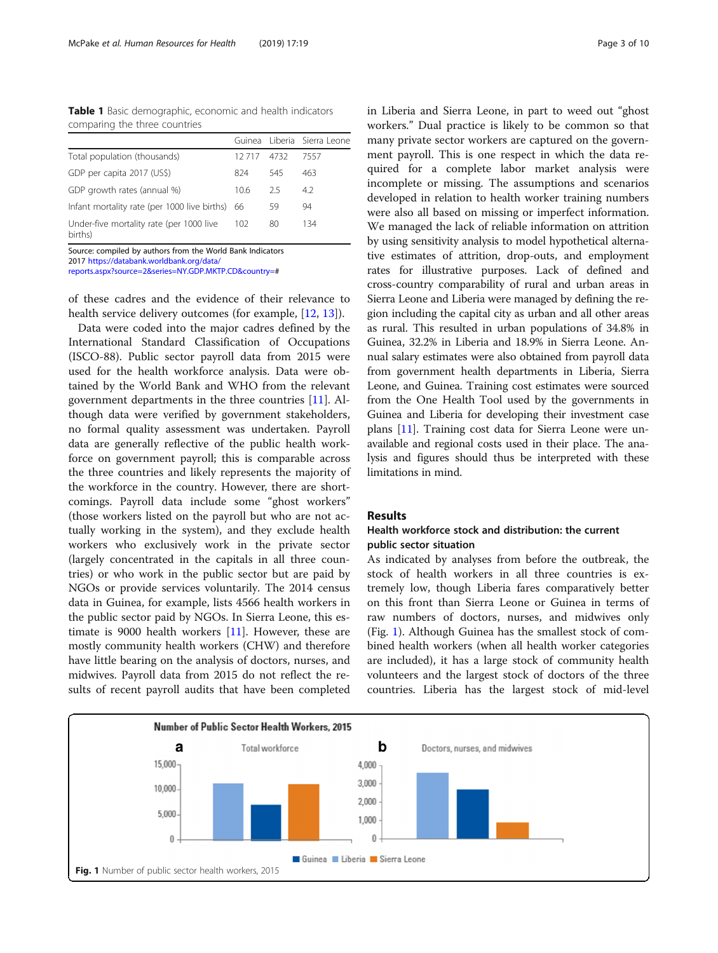<span id="page-2-0"></span>Table 1 Basic demographic, economic and health indicators comparing the three countries

|                                                     |        |      | Guinea Liberia Sierra Leone |
|-----------------------------------------------------|--------|------|-----------------------------|
| Total population (thousands)                        | 12 717 | 4732 | 7557                        |
| GDP per capita 2017 (US\$)                          | 824    | 545  | 463                         |
| GDP growth rates (annual %)                         | 10.6   | 25   | 4.2                         |
| Infant mortality rate (per 1000 live births)        | 66     | 59   | 94                          |
| Under-five mortality rate (per 1000 live<br>births) | 102    | 80   | 134                         |

Source: compiled by authors from the World Bank Indicators 2017 [https://databank.worldbank.org/data/](https://databank.worldbank.org/data/reports.aspx?source=2&series=NY.GDP.MKTP.CD&country=)

[reports.aspx?source=2&series=NY.GDP.MKTP.CD&country=](https://databank.worldbank.org/data/reports.aspx?source=2&series=NY.GDP.MKTP.CD&country=)#

of these cadres and the evidence of their relevance to health service delivery outcomes (for example, [[12,](#page-9-0) [13\]](#page-9-0)).

Data were coded into the major cadres defined by the International Standard Classification of Occupations (ISCO-88). Public sector payroll data from 2015 were used for the health workforce analysis. Data were obtained by the World Bank and WHO from the relevant government departments in the three countries [\[11\]](#page-9-0). Although data were verified by government stakeholders, no formal quality assessment was undertaken. Payroll data are generally reflective of the public health workforce on government payroll; this is comparable across the three countries and likely represents the majority of the workforce in the country. However, there are shortcomings. Payroll data include some "ghost workers" (those workers listed on the payroll but who are not actually working in the system), and they exclude health workers who exclusively work in the private sector (largely concentrated in the capitals in all three countries) or who work in the public sector but are paid by NGOs or provide services voluntarily. The 2014 census data in Guinea, for example, lists 4566 health workers in the public sector paid by NGOs. In Sierra Leone, this estimate is 9000 health workers  $[11]$  $[11]$ . However, these are mostly community health workers (CHW) and therefore have little bearing on the analysis of doctors, nurses, and midwives. Payroll data from 2015 do not reflect the results of recent payroll audits that have been completed in Liberia and Sierra Leone, in part to weed out "ghost workers." Dual practice is likely to be common so that many private sector workers are captured on the government payroll. This is one respect in which the data required for a complete labor market analysis were incomplete or missing. The assumptions and scenarios developed in relation to health worker training numbers were also all based on missing or imperfect information. We managed the lack of reliable information on attrition by using sensitivity analysis to model hypothetical alternative estimates of attrition, drop-outs, and employment rates for illustrative purposes. Lack of defined and cross-country comparability of rural and urban areas in Sierra Leone and Liberia were managed by defining the region including the capital city as urban and all other areas as rural. This resulted in urban populations of 34.8% in Guinea, 32.2% in Liberia and 18.9% in Sierra Leone. Annual salary estimates were also obtained from payroll data from government health departments in Liberia, Sierra Leone, and Guinea. Training cost estimates were sourced from the One Health Tool used by the governments in Guinea and Liberia for developing their investment case plans [[11](#page-9-0)]. Training cost data for Sierra Leone were unavailable and regional costs used in their place. The analysis and figures should thus be interpreted with these limitations in mind.

#### Results

#### Health workforce stock and distribution: the current public sector situation

As indicated by analyses from before the outbreak, the stock of health workers in all three countries is extremely low, though Liberia fares comparatively better on this front than Sierra Leone or Guinea in terms of raw numbers of doctors, nurses, and midwives only (Fig. 1). Although Guinea has the smallest stock of combined health workers (when all health worker categories are included), it has a large stock of community health volunteers and the largest stock of doctors of the three countries. Liberia has the largest stock of mid-level

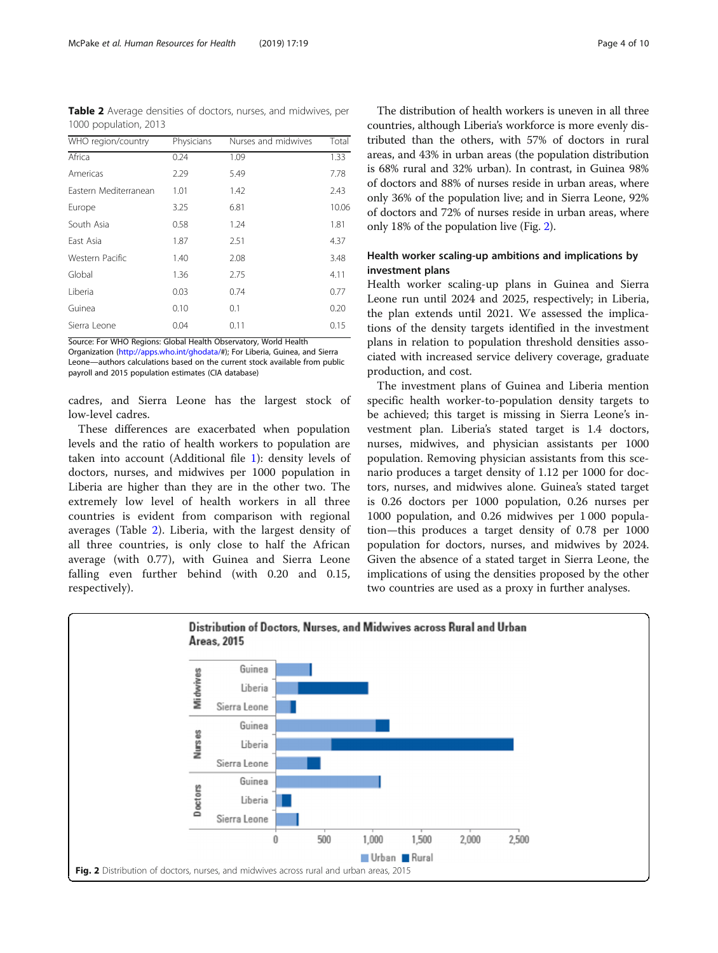<span id="page-3-0"></span>Table 2 Average densities of doctors, nurses, and midwives, per 1000 population, 2013

| WHO region/country    | Physicians | Nurses and midwives | Total |
|-----------------------|------------|---------------------|-------|
| Africa                | 0.24       | 1.09                | 1.33  |
| Americas              | 2.29       | 5.49                | 7.78  |
| Fastern Mediterranean | 1.01       | 1.42                | 2.43  |
| Europe                | 3.25       | 6.81                | 10.06 |
| South Asia            | 0.58       | 1.24                | 1.81  |
| Fast Asia             | 1.87       | 2.51                | 4.37  |
| Western Pacific       | 1.40       | 2.08                | 3.48  |
| Global                | 1.36       | 2.75                | 4.11  |
| Liberia               | 0.03       | 0.74                | 0.77  |
| Guinea                | 0.10       | 0.1                 | 0.20  |
| Sierra Leone          | 0.04       | 0.11                | 0.15  |

Source: For WHO Regions: Global Health Observatory, World Health Organization [\(http://apps.who.int/ghodata/](http://apps.who.int/ghodata/)#); For Liberia, Guinea, and Sierra Leone—authors calculations based on the current stock available from public payroll and 2015 population estimates (CIA database)

cadres, and Sierra Leone has the largest stock of low-level cadres.

These differences are exacerbated when population levels and the ratio of health workers to population are taken into account (Additional file [1\)](#page-9-0): density levels of doctors, nurses, and midwives per 1000 population in Liberia are higher than they are in the other two. The extremely low level of health workers in all three countries is evident from comparison with regional averages (Table 2). Liberia, with the largest density of all three countries, is only close to half the African average (with 0.77), with Guinea and Sierra Leone falling even further behind (with 0.20 and 0.15, respectively).

The distribution of health workers is uneven in all three countries, although Liberia's workforce is more evenly distributed than the others, with 57% of doctors in rural areas, and 43% in urban areas (the population distribution is 68% rural and 32% urban). In contrast, in Guinea 98% of doctors and 88% of nurses reside in urban areas, where only 36% of the population live; and in Sierra Leone, 92% of doctors and 72% of nurses reside in urban areas, where only 18% of the population live (Fig. 2).

#### Health worker scaling-up ambitions and implications by investment plans

Health worker scaling-up plans in Guinea and Sierra Leone run until 2024 and 2025, respectively; in Liberia, the plan extends until 2021. We assessed the implications of the density targets identified in the investment plans in relation to population threshold densities associated with increased service delivery coverage, graduate production, and cost.

The investment plans of Guinea and Liberia mention specific health worker-to-population density targets to be achieved; this target is missing in Sierra Leone's investment plan. Liberia's stated target is 1.4 doctors, nurses, midwives, and physician assistants per 1000 population. Removing physician assistants from this scenario produces a target density of 1.12 per 1000 for doctors, nurses, and midwives alone. Guinea's stated target is 0.26 doctors per 1000 population, 0.26 nurses per 1000 population, and 0.26 midwives per 1 000 population—this produces a target density of 0.78 per 1000 population for doctors, nurses, and midwives by 2024. Given the absence of a stated target in Sierra Leone, the implications of using the densities proposed by the other two countries are used as a proxy in further analyses.

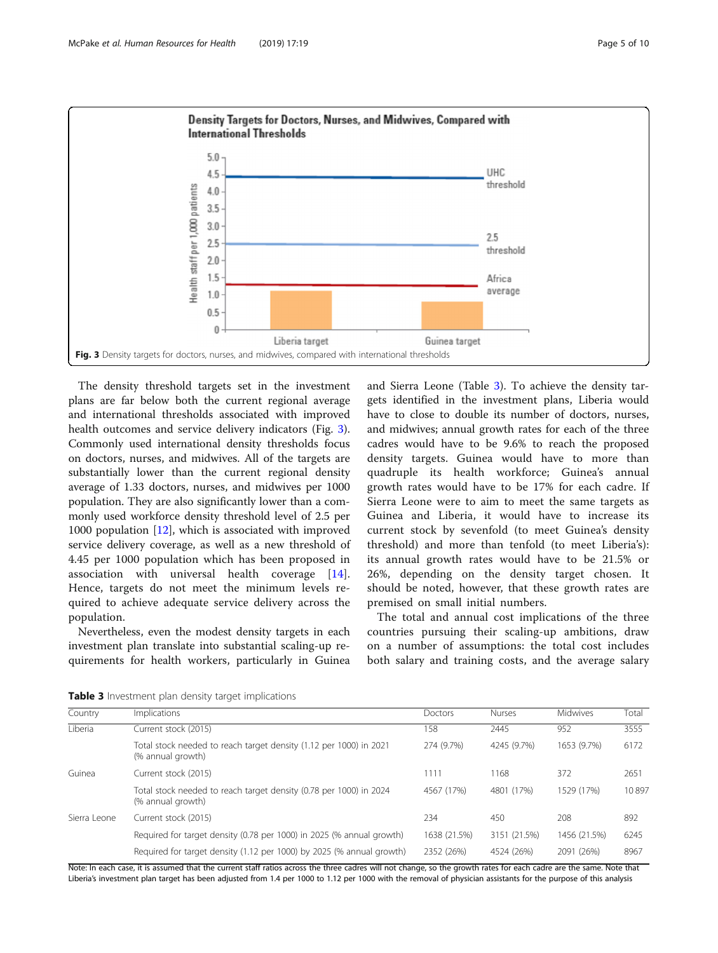

The density threshold targets set in the investment plans are far below both the current regional average and international thresholds associated with improved health outcomes and service delivery indicators (Fig. 3). Commonly used international density thresholds focus on doctors, nurses, and midwives. All of the targets are substantially lower than the current regional density average of 1.33 doctors, nurses, and midwives per 1000 population. They are also significantly lower than a commonly used workforce density threshold level of 2.5 per 1000 population [\[12\]](#page-9-0), which is associated with improved service delivery coverage, as well as a new threshold of 4.45 per 1000 population which has been proposed in association with universal health coverage [\[14](#page-9-0)]. Hence, targets do not meet the minimum levels required to achieve adequate service delivery across the population.

Nevertheless, even the modest density targets in each investment plan translate into substantial scaling-up requirements for health workers, particularly in Guinea

and Sierra Leone (Table 3). To achieve the density targets identified in the investment plans, Liberia would have to close to double its number of doctors, nurses, and midwives; annual growth rates for each of the three cadres would have to be 9.6% to reach the proposed density targets. Guinea would have to more than quadruple its health workforce; Guinea's annual growth rates would have to be 17% for each cadre. If Sierra Leone were to aim to meet the same targets as Guinea and Liberia, it would have to increase its current stock by sevenfold (to meet Guinea's density threshold) and more than tenfold (to meet Liberia's): its annual growth rates would have to be 21.5% or 26%, depending on the density target chosen. It should be noted, however, that these growth rates are premised on small initial numbers.

The total and annual cost implications of the three countries pursuing their scaling-up ambitions, draw on a number of assumptions: the total cost includes both salary and training costs, and the average salary

| Country      | Implications                                                                            | Doctors      | <b>Nurses</b> | Midwives     | Total |
|--------------|-----------------------------------------------------------------------------------------|--------------|---------------|--------------|-------|
| Liberia      | Current stock (2015)                                                                    | 158          | 2445          | 952          | 3555  |
|              | Total stock needed to reach target density (1.12 per 1000) in 2021<br>(% annual growth) | 274 (9.7%)   | 4245 (9.7%)   | 1653 (9.7%)  | 6172  |
| Guinea       | Current stock (2015)                                                                    | 1111         | 1168          | 372          | 2651  |
|              | Total stock needed to reach target density (0.78 per 1000) in 2024<br>(% annual growth) | 4567 (17%)   | 4801 (17%)    | 1529 (17%)   | 10897 |
| Sierra Leone | Current stock (2015)                                                                    | 234          | 450           | 208          | 892   |
|              | Required for target density (0.78 per 1000) in 2025 (% annual growth)                   | 1638 (21.5%) | 3151 (21.5%)  | 1456 (21.5%) | 6245  |
|              | Required for target density (1.12 per 1000) by 2025 (% annual growth)                   | 2352 (26%)   | 4524 (26%)    | 2091 (26%)   | 8967  |

Table 3 Investment plan density target implications

Note: In each case, it is assumed that the current staff ratios across the three cadres will not change, so the growth rates for each cadre are the same. Note that Liberia's investment plan target has been adjusted from 1.4 per 1000 to 1.12 per 1000 with the removal of physician assistants for the purpose of this analysis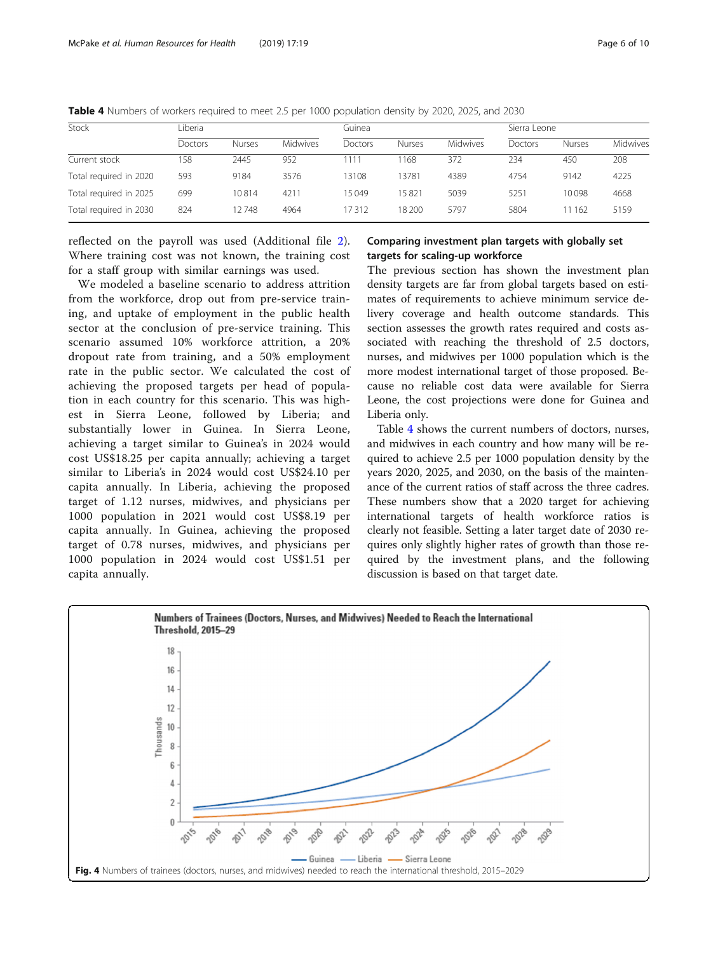| Stock                  | _iberia |               |                 | Guinea  |               |          | Sierra Leone |               |          |
|------------------------|---------|---------------|-----------------|---------|---------------|----------|--------------|---------------|----------|
|                        | Doctors | <b>Nurses</b> | <b>Midwives</b> | Doctors | <b>Nurses</b> | Midwives | Doctors      | <b>Nurses</b> | Midwives |
| Current stock          | 58      | 2445          | 952             |         | 1168          | 372      | 234          | 450           | 208      |
| Total required in 2020 | 593     | 9184          | 3576            | 13108   | 13781         | 4389     | 4754         | 9142          | 4225     |
| Total required in 2025 | 699     | 10814         | 4211            | 15049   | 15821         | 5039     | 5251         | 10098         | 4668     |
| Total required in 2030 | 824     | 12748         | 4964            | 17312   | 18 200        | 5797     | 5804         | 11 162        | 5159     |
|                        |         |               |                 |         |               |          |              |               |          |

<span id="page-5-0"></span>Table 4 Numbers of workers required to meet 2.5 per 1000 population density by 2020, 2025, and 2030

reflected on the payroll was used (Additional file [2](#page-9-0)). Where training cost was not known, the training cost for a staff group with similar earnings was used.

We modeled a baseline scenario to address attrition from the workforce, drop out from pre-service training, and uptake of employment in the public health sector at the conclusion of pre-service training. This scenario assumed 10% workforce attrition, a 20% dropout rate from training, and a 50% employment rate in the public sector. We calculated the cost of achieving the proposed targets per head of population in each country for this scenario. This was highest in Sierra Leone, followed by Liberia; and substantially lower in Guinea. In Sierra Leone, achieving a target similar to Guinea's in 2024 would cost US\$18.25 per capita annually; achieving a target similar to Liberia's in 2024 would cost US\$24.10 per capita annually. In Liberia, achieving the proposed target of 1.12 nurses, midwives, and physicians per 1000 population in 2021 would cost US\$8.19 per capita annually. In Guinea, achieving the proposed target of 0.78 nurses, midwives, and physicians per 1000 population in 2024 would cost US\$1.51 per capita annually.

#### Comparing investment plan targets with globally set targets for scaling-up workforce

The previous section has shown the investment plan density targets are far from global targets based on estimates of requirements to achieve minimum service delivery coverage and health outcome standards. This section assesses the growth rates required and costs associated with reaching the threshold of 2.5 doctors, nurses, and midwives per 1000 population which is the more modest international target of those proposed. Because no reliable cost data were available for Sierra Leone, the cost projections were done for Guinea and Liberia only.

Table 4 shows the current numbers of doctors, nurses, and midwives in each country and how many will be required to achieve 2.5 per 1000 population density by the years 2020, 2025, and 2030, on the basis of the maintenance of the current ratios of staff across the three cadres. These numbers show that a 2020 target for achieving international targets of health workforce ratios is clearly not feasible. Setting a later target date of 2030 requires only slightly higher rates of growth than those required by the investment plans, and the following discussion is based on that target date.

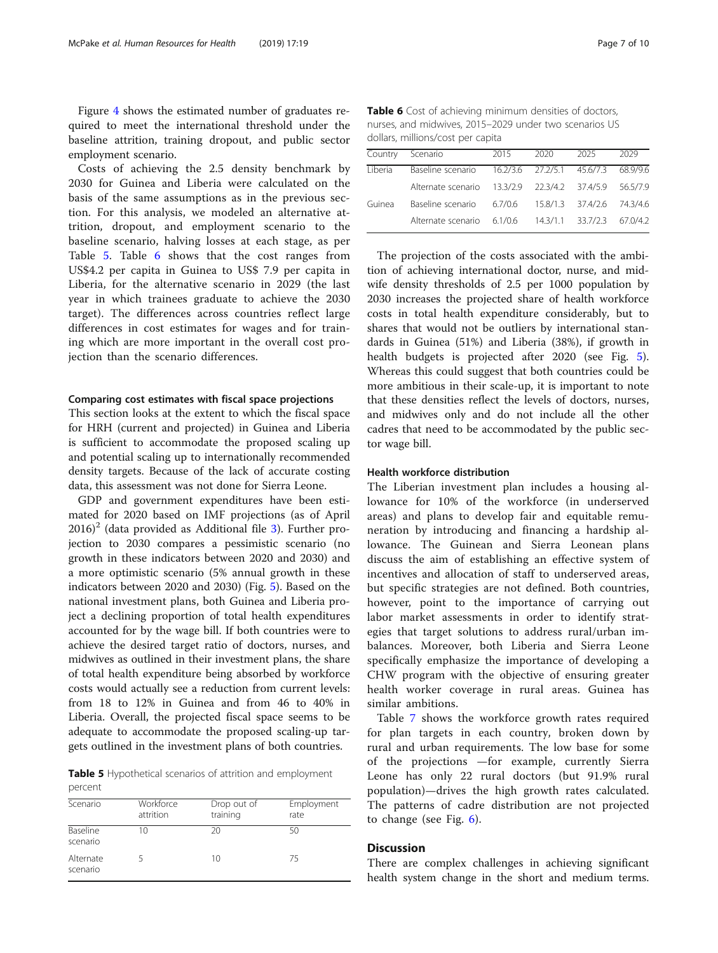Figure [4](#page-5-0) shows the estimated number of graduates required to meet the international threshold under the baseline attrition, training dropout, and public sector employment scenario.

Costs of achieving the 2.5 density benchmark by 2030 for Guinea and Liberia were calculated on the basis of the same assumptions as in the previous section. For this analysis, we modeled an alternative attrition, dropout, and employment scenario to the baseline scenario, halving losses at each stage, as per Table 5. Table 6 shows that the cost ranges from US\$4.2 per capita in Guinea to US\$ 7.9 per capita in Liberia, for the alternative scenario in 2029 (the last year in which trainees graduate to achieve the 2030 target). The differences across countries reflect large differences in cost estimates for wages and for training which are more important in the overall cost projection than the scenario differences.

#### Comparing cost estimates with fiscal space projections

This section looks at the extent to which the fiscal space for HRH (current and projected) in Guinea and Liberia is sufficient to accommodate the proposed scaling up and potential scaling up to internationally recommended density targets. Because of the lack of accurate costing data, this assessment was not done for Sierra Leone.

GDP and government expenditures have been estimated for 2020 based on IMF projections (as of April  $2016$ <sup>2</sup> (data provided as Additional file [3\)](#page-9-0). Further projection to 2030 compares a pessimistic scenario (no growth in these indicators between 2020 and 2030) and a more optimistic scenario (5% annual growth in these indicators between 2020 and 2030) (Fig. [5\)](#page-7-0). Based on the national investment plans, both Guinea and Liberia project a declining proportion of total health expenditures accounted for by the wage bill. If both countries were to achieve the desired target ratio of doctors, nurses, and midwives as outlined in their investment plans, the share of total health expenditure being absorbed by workforce costs would actually see a reduction from current levels: from 18 to 12% in Guinea and from 46 to 40% in Liberia. Overall, the projected fiscal space seems to be adequate to accommodate the proposed scaling-up targets outlined in the investment plans of both countries.

Table 5 Hypothetical scenarios of attrition and employment percent

| Scenario              | Workforce<br>attrition | Drop out of<br>training | Employment<br>rate |
|-----------------------|------------------------|-------------------------|--------------------|
| Baseline<br>scenario  | 10                     | 20                      | 50                 |
| Alternate<br>scenario |                        | 10                      | 75                 |

Table 6 Cost of achieving minimum densities of doctors, nurses, and midwives, 2015–2029 under two scenarios US dollars, millions/cost per capita

| Country  | Scenario                                               | 2015 | 2020 | 2025 | 2029 |
|----------|--------------------------------------------------------|------|------|------|------|
| I iberia | Baseline scenario 16.2/3.6 27.2/5.1 45.6/7.3 68.9/9.6  |      |      |      |      |
|          | Alternate scenario 13.3/2.9 22.3/4.2 37.4/5.9 56.5/7.9 |      |      |      |      |
| Guinea   | Baseline scenario 6.7/0.6 15.8/1.3 37.4/2.6 74.3/4.6   |      |      |      |      |
|          | Alternate scenario 6.1/0.6 14.3/1.1 33.7/2.3 67.0/4.2  |      |      |      |      |
|          |                                                        |      |      |      |      |

The projection of the costs associated with the ambition of achieving international doctor, nurse, and midwife density thresholds of 2.5 per 1000 population by 2030 increases the projected share of health workforce costs in total health expenditure considerably, but to shares that would not be outliers by international standards in Guinea (51%) and Liberia (38%), if growth in health budgets is projected after 2020 (see Fig. [5](#page-7-0)). Whereas this could suggest that both countries could be more ambitious in their scale-up, it is important to note that these densities reflect the levels of doctors, nurses, and midwives only and do not include all the other cadres that need to be accommodated by the public sector wage bill.

#### Health workforce distribution

The Liberian investment plan includes a housing allowance for 10% of the workforce (in underserved areas) and plans to develop fair and equitable remuneration by introducing and financing a hardship allowance. The Guinean and Sierra Leonean plans discuss the aim of establishing an effective system of incentives and allocation of staff to underserved areas, but specific strategies are not defined. Both countries, however, point to the importance of carrying out labor market assessments in order to identify strategies that target solutions to address rural/urban imbalances. Moreover, both Liberia and Sierra Leone specifically emphasize the importance of developing a CHW program with the objective of ensuring greater health worker coverage in rural areas. Guinea has similar ambitions.

Table [7](#page-7-0) shows the workforce growth rates required for plan targets in each country, broken down by rural and urban requirements. The low base for some of the projections —for example, currently Sierra Leone has only 22 rural doctors (but 91.9% rural population)—drives the high growth rates calculated. The patterns of cadre distribution are not projected to change (see Fig. [6](#page-8-0)).

#### **Discussion**

There are complex challenges in achieving significant health system change in the short and medium terms.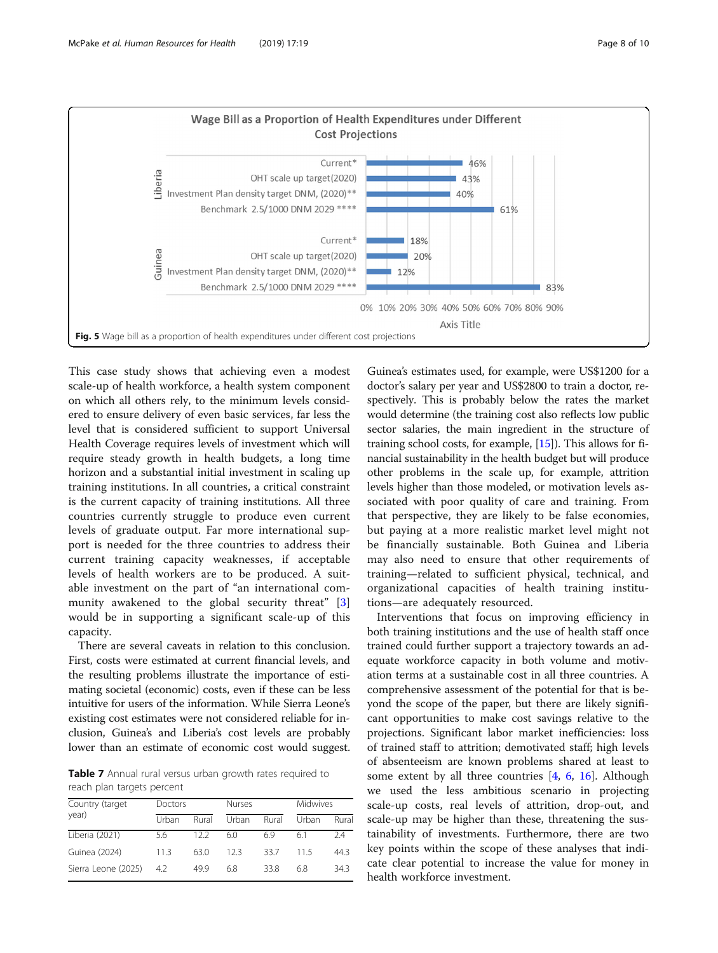<span id="page-7-0"></span>

This case study shows that achieving even a modest scale-up of health workforce, a health system component on which all others rely, to the minimum levels considered to ensure delivery of even basic services, far less the level that is considered sufficient to support Universal Health Coverage requires levels of investment which will require steady growth in health budgets, a long time horizon and a substantial initial investment in scaling up training institutions. In all countries, a critical constraint is the current capacity of training institutions. All three countries currently struggle to produce even current levels of graduate output. Far more international support is needed for the three countries to address their current training capacity weaknesses, if acceptable levels of health workers are to be produced. A suitable investment on the part of "an international com-munity awakened to the global security threat" [\[3](#page-9-0)] would be in supporting a significant scale-up of this capacity.

There are several caveats in relation to this conclusion. First, costs were estimated at current financial levels, and the resulting problems illustrate the importance of estimating societal (economic) costs, even if these can be less intuitive for users of the information. While Sierra Leone's existing cost estimates were not considered reliable for inclusion, Guinea's and Liberia's cost levels are probably lower than an estimate of economic cost would suggest.

Table 7 Annual rural versus urban growth rates required to reach plan targets percent

|       |         |       |               | Midwives |       |
|-------|---------|-------|---------------|----------|-------|
| Urban | Rural   | Urban | Rural         | Urban    | Rural |
| 5.6   | 12.2    | 60    | 69            | 61       | 2.4   |
| 11.3  | 63.0    | 123   | 337           | 115      | 44.3  |
| 4.2   | 499     | 68    | 338           | 68       | 34.3  |
|       | Doctors |       | <b>Nurses</b> |          |       |

Guinea's estimates used, for example, were US\$1200 for a doctor's salary per year and US\$2800 to train a doctor, respectively. This is probably below the rates the market would determine (the training cost also reflects low public sector salaries, the main ingredient in the structure of training school costs, for example, [\[15\]](#page-9-0)). This allows for financial sustainability in the health budget but will produce other problems in the scale up, for example, attrition levels higher than those modeled, or motivation levels associated with poor quality of care and training. From that perspective, they are likely to be false economies, but paying at a more realistic market level might not be financially sustainable. Both Guinea and Liberia may also need to ensure that other requirements of training—related to sufficient physical, technical, and organizational capacities of health training institutions—are adequately resourced.

Interventions that focus on improving efficiency in both training institutions and the use of health staff once trained could further support a trajectory towards an adequate workforce capacity in both volume and motivation terms at a sustainable cost in all three countries. A comprehensive assessment of the potential for that is beyond the scope of the paper, but there are likely significant opportunities to make cost savings relative to the projections. Significant labor market inefficiencies: loss of trained staff to attrition; demotivated staff; high levels of absenteeism are known problems shared at least to some extent by all three countries [\[4,](#page-9-0) [6](#page-9-0), [16\]](#page-9-0). Although we used the less ambitious scenario in projecting scale-up costs, real levels of attrition, drop-out, and scale-up may be higher than these, threatening the sustainability of investments. Furthermore, there are two key points within the scope of these analyses that indicate clear potential to increase the value for money in health workforce investment.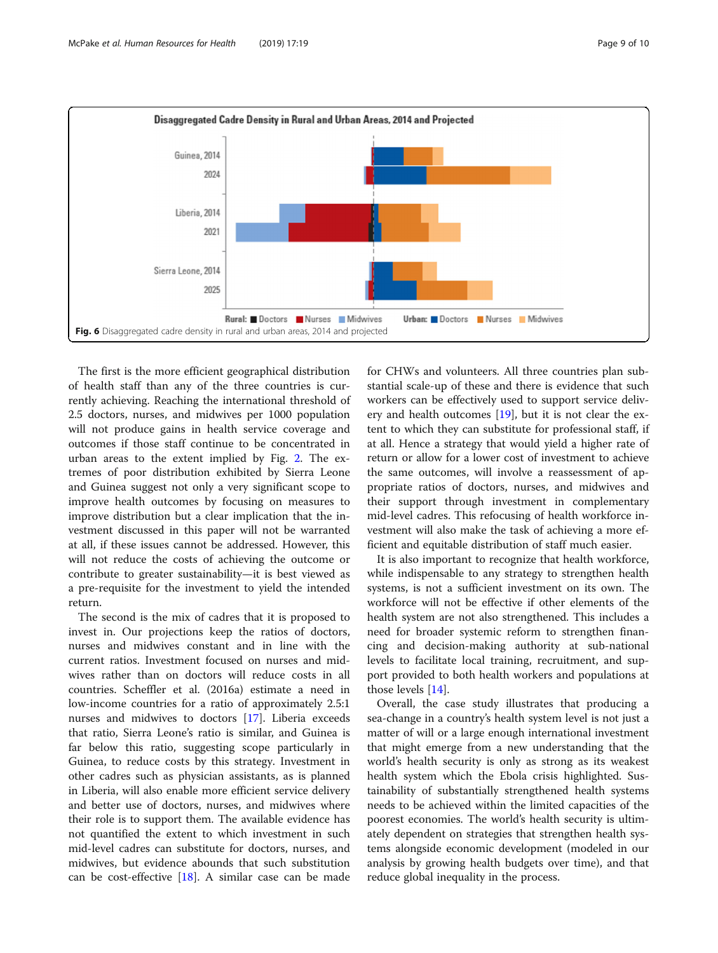<span id="page-8-0"></span>

The first is the more efficient geographical distribution of health staff than any of the three countries is currently achieving. Reaching the international threshold of 2.5 doctors, nurses, and midwives per 1000 population will not produce gains in health service coverage and outcomes if those staff continue to be concentrated in urban areas to the extent implied by Fig. [2](#page-3-0). The extremes of poor distribution exhibited by Sierra Leone and Guinea suggest not only a very significant scope to improve health outcomes by focusing on measures to improve distribution but a clear implication that the investment discussed in this paper will not be warranted at all, if these issues cannot be addressed. However, this will not reduce the costs of achieving the outcome or contribute to greater sustainability—it is best viewed as a pre-requisite for the investment to yield the intended return.

The second is the mix of cadres that it is proposed to invest in. Our projections keep the ratios of doctors, nurses and midwives constant and in line with the current ratios. Investment focused on nurses and midwives rather than on doctors will reduce costs in all countries. Scheffler et al. (2016a) estimate a need in low-income countries for a ratio of approximately 2.5:1 nurses and midwives to doctors [\[17\]](#page-9-0). Liberia exceeds that ratio, Sierra Leone's ratio is similar, and Guinea is far below this ratio, suggesting scope particularly in Guinea, to reduce costs by this strategy. Investment in other cadres such as physician assistants, as is planned in Liberia, will also enable more efficient service delivery and better use of doctors, nurses, and midwives where their role is to support them. The available evidence has not quantified the extent to which investment in such mid-level cadres can substitute for doctors, nurses, and midwives, but evidence abounds that such substitution can be cost-effective [[18](#page-9-0)]. A similar case can be made for CHWs and volunteers. All three countries plan substantial scale-up of these and there is evidence that such workers can be effectively used to support service delivery and health outcomes [\[19](#page-9-0)], but it is not clear the extent to which they can substitute for professional staff, if at all. Hence a strategy that would yield a higher rate of return or allow for a lower cost of investment to achieve the same outcomes, will involve a reassessment of appropriate ratios of doctors, nurses, and midwives and their support through investment in complementary mid-level cadres. This refocusing of health workforce investment will also make the task of achieving a more efficient and equitable distribution of staff much easier.

It is also important to recognize that health workforce, while indispensable to any strategy to strengthen health systems, is not a sufficient investment on its own. The workforce will not be effective if other elements of the health system are not also strengthened. This includes a need for broader systemic reform to strengthen financing and decision-making authority at sub-national levels to facilitate local training, recruitment, and support provided to both health workers and populations at those levels [[14\]](#page-9-0).

Overall, the case study illustrates that producing a sea-change in a country's health system level is not just a matter of will or a large enough international investment that might emerge from a new understanding that the world's health security is only as strong as its weakest health system which the Ebola crisis highlighted. Sustainability of substantially strengthened health systems needs to be achieved within the limited capacities of the poorest economies. The world's health security is ultimately dependent on strategies that strengthen health systems alongside economic development (modeled in our analysis by growing health budgets over time), and that reduce global inequality in the process.